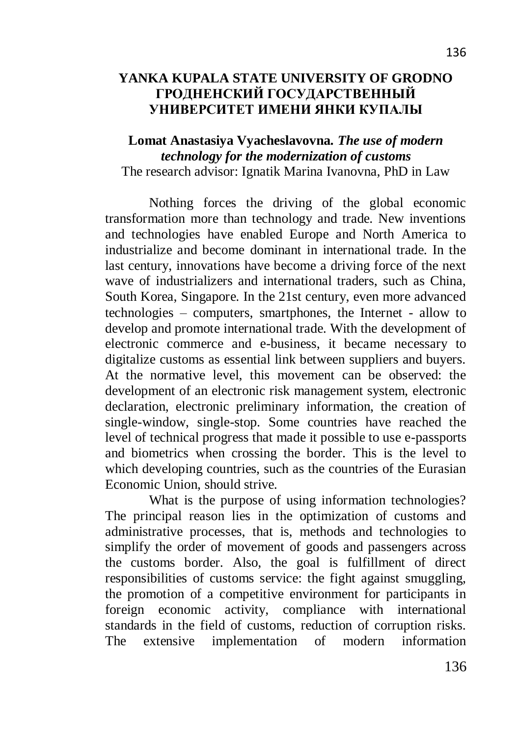## **YANKA KUPALA STATE UNIVERSITY OF GRODNO ГРОДНЕНСКИЙ ГОСУДАРСТВЕННЫЙ УНИВЕРСИТЕТ ИМЕНИ ЯНКИ КУПАЛЫ**

## **Lomat Anastasiya Vyacheslavovna.** *The use of modern technology for the modernization of customs* The research advisor: Ignatik Marina Ivanovna, PhD in Law

Nothing forces the driving of the global economic transformation more than technology and trade. New inventions and technologies have enabled Europe and North America to industrialize and become dominant in international trade. In the last century, innovations have become a driving force of the next wave of industrializers and international traders, such as China, South Korea, Singapore. In the 21st century, even more advanced technologies – computers, smartphones, the Internet - allow to develop and promote international trade. With the development of electronic commerce and e-business, it became necessary to digitalize customs as essential link between suppliers and buyers. At the normative level, this movement can be observed: the development of an electronic risk management system, electronic declaration, electronic preliminary information, the creation of single-window, single-stop. Some countries have reached the level of technical progress that made it possible to use e-passports and biometrics when crossing the border. This is the level to which developing countries, such as the countries of the Eurasian Economic Union, should strive.

What is the purpose of using information technologies? The principal reason lies in the optimization of customs and administrative processes, that is, methods and technologies to simplify the order of movement of goods and passengers across the customs border. Also, the goal is fulfillment of direct responsibilities of customs service: the fight against smuggling, the promotion of a competitive environment for participants in foreign economic activity, compliance with international standards in the field of customs, reduction of corruption risks. The extensive implementation of modern information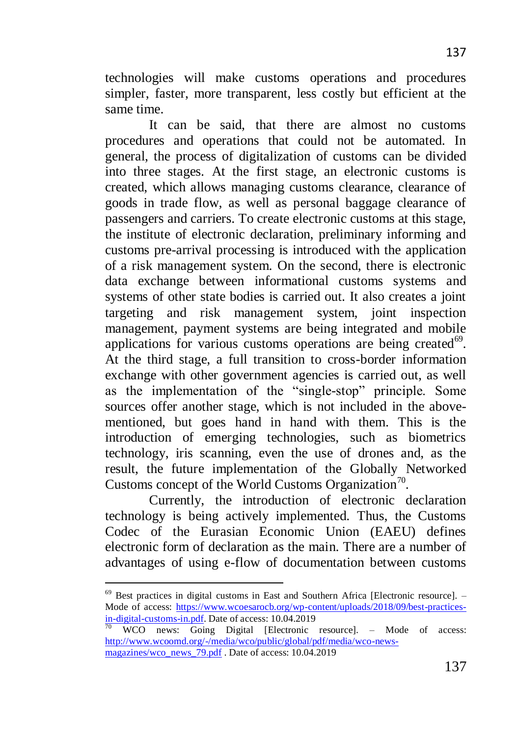same time. It can be said, that there are almost no customs procedures and operations that could not be automated. In general, the process of digitalization of customs can be divided into three stages. At the first stage, an electronic customs is created, which allows managing customs clearance, clearance of goods in trade flow, as well as personal baggage clearance of passengers and carriers. To create electronic customs at this stage, the institute of electronic declaration, preliminary informing and customs pre-arrival processing is introduced with the application of a risk management system. On the second, there is electronic data exchange between informational customs systems and systems of other state bodies is carried out. It also creates a joint targeting and risk management system, joint inspection management, payment systems are being integrated and mobile applications for various customs operations are being created<sup>69</sup>. At the third stage, a full transition to cross-border information exchange with other government agencies is carried out, as well as the implementation of the "single-stop" principle. Some sources offer another stage, which is not included in the abovementioned, but goes hand in hand with them. This is the introduction of emerging technologies, such as biometrics technology, iris scanning, even the use of drones and, as the result, the future implementation of the Globally Networked Customs concept of the World Customs Organization<sup>70</sup>.

Currently, the introduction of electronic declaration technology is being actively implemented. Thus, the Customs Codec of the Eurasian Economic Union (EAEU) defines electronic form of declaration as the main. There are a number of advantages of using e-flow of documentation between customs

 $\ddot{\phantom{a}}$ 

137

 $69$  Best practices in digital customs in East and Southern Africa [Electronic resource]. – Mode of access: [https://www.wcoesarocb.org/wp-content/uploads/2018/09/best-practices](https://www.wcoesarocb.org/wp-content/uploads/2018/09/best-practices-in-digital-customs-in.pdf)[in-digital-customs-in.pdf.](https://www.wcoesarocb.org/wp-content/uploads/2018/09/best-practices-in-digital-customs-in.pdf) Date of access: 10.04.2019

 $\frac{70}{70}$  WCO news: Going Digital [Electronic resource]. – Mode of access: [http://www.wcoomd.org/-/media/wco/public/global/pdf/media/wco-news](http://www.wcoomd.org/-/media/wco/public/global/pdf/media/wco-news-magazines/wco_news_79.pdf)[magazines/wco\\_news\\_79.pdf](http://www.wcoomd.org/-/media/wco/public/global/pdf/media/wco-news-magazines/wco_news_79.pdf) . Date of access: 10.04.2019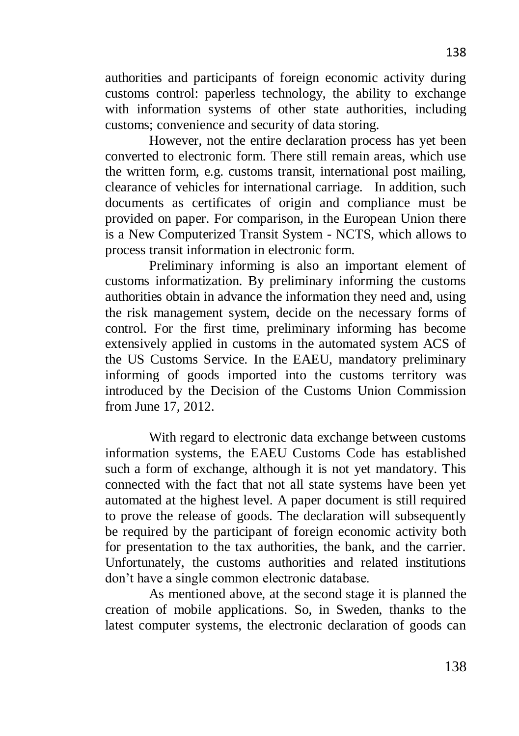authorities and participants of foreign economic activity during customs control: paperless technology, the ability to exchange with information systems of other state authorities, including customs; convenience and security of data storing.

However, not the entire declaration process has yet been converted to electronic form. There still remain areas, which use the written form, e.g. customs transit, international post mailing, clearance of vehicles for international carriage. In addition, such documents as certificates of origin and compliance must be provided on paper. For comparison, in the European Union there is a New Computerized Transit System - NCTS, which allows to process transit information in electronic form.

Preliminary informing is also an important element of customs informatization. By preliminary informing the customs authorities obtain in advance the information they need and, using the risk management system, decide on the necessary forms of control. For the first time, preliminary informing has become extensively applied in customs in the automated system ACS of the US Customs Service. In the EAEU, mandatory preliminary informing of goods imported into the customs territory was introduced by the Decision of the Customs Union Commission from June 17, 2012.

With regard to electronic data exchange between customs information systems, the EAEU Customs Code has established such a form of exchange, although it is not yet mandatory. This connected with the fact that not all state systems have been yet automated at the highest level. A paper document is still required to prove the release of goods. The declaration will subsequently be required by the participant of foreign economic activity both for presentation to the tax authorities, the bank, and the carrier. Unfortunately, the customs authorities and related institutions don't have a single common electronic database.

As mentioned above, at the second stage it is planned the creation of mobile applications. So, in Sweden, thanks to the latest computer systems, the electronic declaration of goods can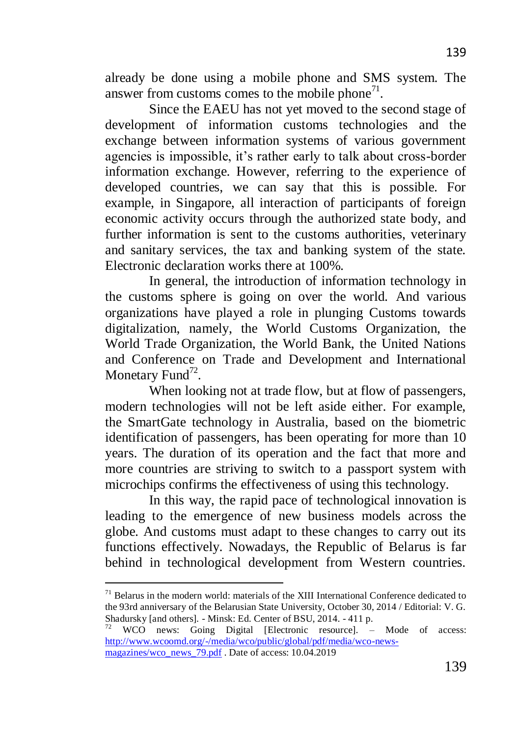already be done using a mobile phone and SMS system. The answer from customs comes to the mobile phone<sup>71</sup>.

Since the EAEU has not yet moved to the second stage of development of information customs technologies and the exchange between information systems of various government agencies is impossible, it's rather early to talk about cross-border information exchange. However, referring to the experience of developed countries, we can say that this is possible. For example, in Singapore, all interaction of participants of foreign economic activity occurs through the authorized state body, and further information is sent to the customs authorities, veterinary and sanitary services, the tax and banking system of the state. Electronic declaration works there at 100%.

In general, the introduction of information technology in the customs sphere is going on over the world. And various organizations have played a role in plunging Customs towards digitalization, namely, the World Customs Organization, the World Trade Organization, the World Bank, the United Nations and Conference on Trade and Development and International Monetary Fund<sup>72</sup>.

When looking not at trade flow, but at flow of passengers, modern technologies will not be left aside either. For example, the SmartGate technology in Australia, based on the biometric identification of passengers, has been operating for more than 10 years. The duration of its operation and the fact that more and more countries are striving to switch to a passport system with microchips confirms the effectiveness of using this technology.

In this way, the rapid pace of technological innovation is leading to the emergence of new business models across the globe. And customs must adapt to these changes to carry out its functions effectively. Nowadays, the Republic of Belarus is far behind in technological development from Western countries.

 $\ddot{\phantom{a}}$ 

 $71$  Belarus in the modern world: materials of the XIII International Conference dedicated to the 93rd anniversary of the Belarusian State University, October 30, 2014 / Editorial: V. G. Shadursky [and others]. - Minsk: Ed. Center of BSU, 2014. - 411 p.

WCO news: Going Digital [Electronic resource]. – Mode of access: [http://www.wcoomd.org/-/media/wco/public/global/pdf/media/wco-news](http://www.wcoomd.org/-/media/wco/public/global/pdf/media/wco-news-magazines/wco_news_79.pdf)[magazines/wco\\_news\\_79.pdf](http://www.wcoomd.org/-/media/wco/public/global/pdf/media/wco-news-magazines/wco_news_79.pdf) . Date of access: 10.04.2019